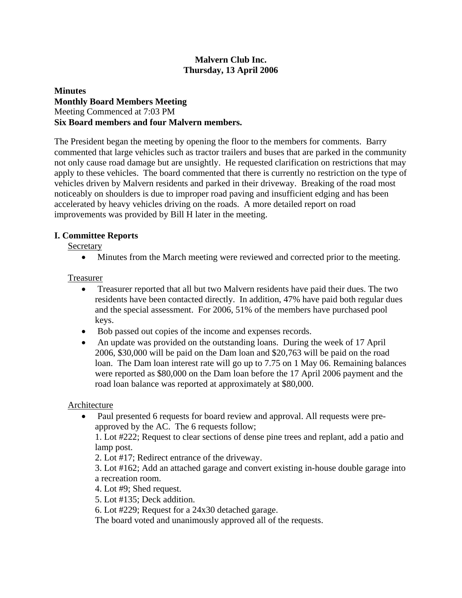### **Malvern Club Inc. Thursday, 13 April 2006**

### **Minutes Monthly Board Members Meeting**  Meeting Commenced at 7:03 PM **Six Board members and four Malvern members.**

The President began the meeting by opening the floor to the members for comments. Barry commented that large vehicles such as tractor trailers and buses that are parked in the community not only cause road damage but are unsightly. He requested clarification on restrictions that may apply to these vehicles. The board commented that there is currently no restriction on the type of vehicles driven by Malvern residents and parked in their driveway. Breaking of the road most noticeably on shoulders is due to improper road paving and insufficient edging and has been accelerated by heavy vehicles driving on the roads. A more detailed report on road improvements was provided by Bill H later in the meeting.

### **I. Committee Reports**

**Secretary** 

• Minutes from the March meeting were reviewed and corrected prior to the meeting.

## Treasurer

- Treasurer reported that all but two Malvern residents have paid their dues. The two residents have been contacted directly. In addition, 47% have paid both regular dues and the special assessment. For 2006, 51% of the members have purchased pool keys.
- Bob passed out copies of the income and expenses records.
- An update was provided on the outstanding loans. During the week of 17 April 2006, \$30,000 will be paid on the Dam loan and \$20,763 will be paid on the road loan. The Dam loan interest rate will go up to 7.75 on 1 May 06. Remaining balances were reported as \$80,000 on the Dam loan before the 17 April 2006 payment and the road loan balance was reported at approximately at \$80,000.

### Architecture

• Paul presented 6 requests for board review and approval. All requests were preapproved by the AC. The 6 requests follow;

1. Lot #222; Request to clear sections of dense pine trees and replant, add a patio and lamp post.

2. Lot #17; Redirect entrance of the driveway.

3. Lot #162; Add an attached garage and convert existing in-house double garage into a recreation room.

4. Lot #9; Shed request.

5. Lot #135; Deck addition.

6. Lot #229; Request for a 24x30 detached garage.

The board voted and unanimously approved all of the requests.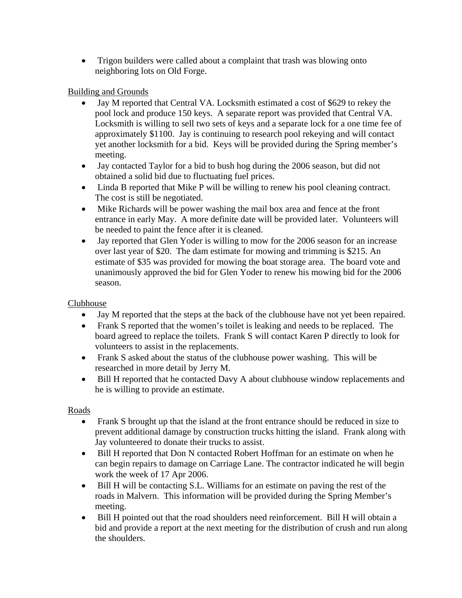• Trigon builders were called about a complaint that trash was blowing onto neighboring lots on Old Forge.

# Building and Grounds

- Jay M reported that Central VA. Locksmith estimated a cost of \$629 to rekey the pool lock and produce 150 keys. A separate report was provided that Central VA. Locksmith is willing to sell two sets of keys and a separate lock for a one time fee of approximately \$1100. Jay is continuing to research pool rekeying and will contact yet another locksmith for a bid. Keys will be provided during the Spring member's meeting.
- Jay contacted Taylor for a bid to bush hog during the 2006 season, but did not obtained a solid bid due to fluctuating fuel prices.
- Linda B reported that Mike P will be willing to renew his pool cleaning contract. The cost is still be negotiated.
- Mike Richards will be power washing the mail box area and fence at the front entrance in early May. A more definite date will be provided later. Volunteers will be needed to paint the fence after it is cleaned.
- Jay reported that Glen Yoder is willing to mow for the 2006 season for an increase over last year of \$20. The dam estimate for mowing and trimming is \$215. An estimate of \$35 was provided for mowing the boat storage area. The board vote and unanimously approved the bid for Glen Yoder to renew his mowing bid for the 2006 season.

# Clubhouse

- Jay M reported that the steps at the back of the clubhouse have not yet been repaired.
- Frank S reported that the women's toilet is leaking and needs to be replaced. The board agreed to replace the toilets. Frank S will contact Karen P directly to look for volunteers to assist in the replacements.
- Frank S asked about the status of the clubhouse power washing. This will be researched in more detail by Jerry M.
- Bill H reported that he contacted Davy A about clubhouse window replacements and he is willing to provide an estimate.

### Roads

- Frank S brought up that the island at the front entrance should be reduced in size to prevent additional damage by construction trucks hitting the island. Frank along with Jay volunteered to donate their trucks to assist.
- Bill H reported that Don N contacted Robert Hoffman for an estimate on when he can begin repairs to damage on Carriage Lane. The contractor indicated he will begin work the week of 17 Apr 2006.
- Bill H will be contacting S.L. Williams for an estimate on paving the rest of the roads in Malvern. This information will be provided during the Spring Member's meeting.
- Bill H pointed out that the road shoulders need reinforcement. Bill H will obtain a bid and provide a report at the next meeting for the distribution of crush and run along the shoulders.